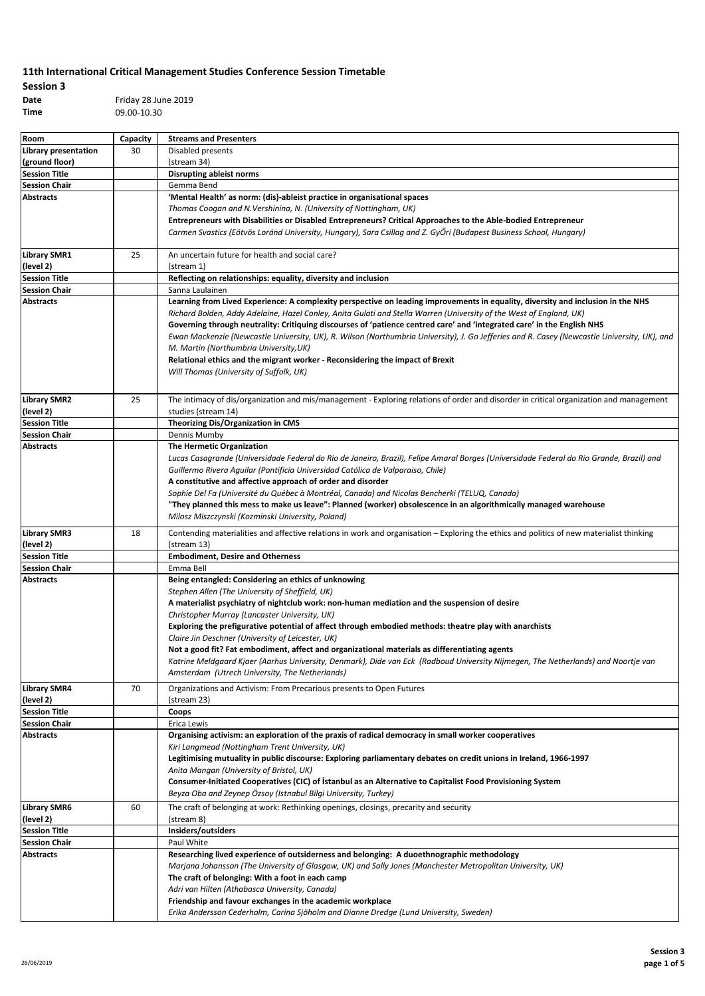| Session 3 |                     |
|-----------|---------------------|
| Date      | Friday 28 June 2019 |
| Time      | 09.00-10.30         |

| Room                                         | Capacity | <b>Streams and Presenters</b>                                                                                                                                                                                     |
|----------------------------------------------|----------|-------------------------------------------------------------------------------------------------------------------------------------------------------------------------------------------------------------------|
| Library presentation                         | 30       | Disabled presents                                                                                                                                                                                                 |
| (ground floor)                               |          | (stream 34)                                                                                                                                                                                                       |
| <b>Session Title</b>                         |          | <b>Disrupting ableist norms</b>                                                                                                                                                                                   |
| <b>Session Chair</b>                         |          | Gemma Bend                                                                                                                                                                                                        |
| <b>Abstracts</b>                             |          | 'Mental Health' as norm: (dis)-ableist practice in organisational spaces                                                                                                                                          |
|                                              |          | Thomas Coogan and N.Vershinina, N. (University of Nottingham, UK)                                                                                                                                                 |
|                                              |          | Entrepreneurs with Disabilities or Disabled Entrepreneurs? Critical Approaches to the Able-bodied Entrepreneur                                                                                                    |
|                                              |          | Carmen Svastics (Eötvös Loránd University, Hungary), Sara Csillag and Z. GyŐri (Budapest Business School, Hungary)                                                                                                |
|                                              |          |                                                                                                                                                                                                                   |
| <b>Library SMR1</b>                          | 25       | An uncertain future for health and social care?                                                                                                                                                                   |
| (level 2)<br><b>Session Title</b>            |          | (stream 1)<br>Reflecting on relationships: equality, diversity and inclusion                                                                                                                                      |
| <b>Session Chair</b>                         |          | Sanna Laulainen                                                                                                                                                                                                   |
| <b>Abstracts</b>                             |          | Learning from Lived Experience: A complexity perspective on leading improvements in equality, diversity and inclusion in the NHS                                                                                  |
|                                              |          | Richard Bolden, Addy Adelaine, Hazel Conley, Anita Gulati and Stella Warren (University of the West of England, UK)                                                                                               |
|                                              |          | Governing through neutrality: Critiquing discourses of 'patience centred care' and 'integrated care' in the English NHS                                                                                           |
|                                              |          | Ewan Mackenzie (Newcastle University, UK), R. Wilson (Northumbria University), J. Go Jefferies and R. Casey (Newcastle University, UK), and                                                                       |
|                                              |          | M. Martin (Northumbria University, UK)                                                                                                                                                                            |
|                                              |          | Relational ethics and the migrant worker - Reconsidering the impact of Brexit                                                                                                                                     |
|                                              |          | Will Thomas (University of Suffolk, UK)                                                                                                                                                                           |
|                                              |          |                                                                                                                                                                                                                   |
| <b>Library SMR2</b>                          | 25       | The intimacy of dis/organization and mis/management - Exploring relations of order and disorder in critical organization and management                                                                           |
| (level 2)                                    |          | studies (stream 14)                                                                                                                                                                                               |
| <b>Session Title</b>                         |          | Theorizing Dis/Organization in CMS                                                                                                                                                                                |
| <b>Session Chair</b>                         |          | Dennis Mumby                                                                                                                                                                                                      |
| <b>Abstracts</b>                             |          | The Hermetic Organization                                                                                                                                                                                         |
|                                              |          | Lucas Casagrande (Universidade Federal do Rio de Janeiro, Brazil), Felipe Amaral Borges (Universidade Federal do Rio Grande, Brazil) and                                                                          |
|                                              |          | Guillermo Rivera Aquilar (Pontificia Universidad Católica de Valparaiso, Chile)                                                                                                                                   |
|                                              |          | A constitutive and affective approach of order and disorder                                                                                                                                                       |
|                                              |          | Sophie Del Fa (Université du Québec à Montréal, Canada) and Nicolas Bencherki (TELUQ, Canada)<br>"They planned this mess to make us leave": Planned (worker) obsolescence in an algorithmically managed warehouse |
|                                              |          | Milosz Miszczynski (Kozminski University, Poland)                                                                                                                                                                 |
|                                              |          |                                                                                                                                                                                                                   |
| <b>Library SMR3</b>                          | 18       | Contending materialities and affective relations in work and organisation - Exploring the ethics and politics of new materialist thinking                                                                         |
| (level 2)                                    |          | (stream 13)                                                                                                                                                                                                       |
| <b>Session Title</b><br><b>Session Chair</b> |          | <b>Embodiment, Desire and Otherness</b><br>Emma Bell                                                                                                                                                              |
| <b>Abstracts</b>                             |          | Being entangled: Considering an ethics of unknowing                                                                                                                                                               |
|                                              |          | Stephen Allen (The University of Sheffield, UK)                                                                                                                                                                   |
|                                              |          | A materialist psychiatry of nightclub work: non-human mediation and the suspension of desire                                                                                                                      |
|                                              |          | Christopher Murray (Lancaster University, UK)                                                                                                                                                                     |
|                                              |          | Exploring the prefigurative potential of affect through embodied methods: theatre play with anarchists                                                                                                            |
|                                              |          | Claire Jin Deschner (University of Leicester, UK)                                                                                                                                                                 |
|                                              |          | Not a good fit? Fat embodiment, affect and organizational materials as differentiating agents                                                                                                                     |
|                                              |          | Katrine Meldgaard Kjaer (Aarhus University, Denmark), Dide van Eck (Radboud University Nijmegen, The Netherlands) and Noortje van                                                                                 |
|                                              |          | Amsterdam (Utrech University, The Netherlands)                                                                                                                                                                    |
| <b>Library SMR4</b>                          | 70       | Organizations and Activism: From Precarious presents to Open Futures                                                                                                                                              |
| (level 2)                                    |          | (stream 23)                                                                                                                                                                                                       |
| <b>Session Title</b>                         |          | Coops                                                                                                                                                                                                             |
| <b>Session Chair</b><br>Abstracts            |          | Erica Lewis<br>Organising activism: an exploration of the praxis of radical democracy in small worker cooperatives                                                                                                |
|                                              |          | Kiri Langmead (Nottingham Trent University, UK)                                                                                                                                                                   |
|                                              |          | Legitimising mutuality in public discourse: Exploring parliamentary debates on credit unions in Ireland, 1966-1997                                                                                                |
|                                              |          | Anita Mangan (University of Bristol, UK)                                                                                                                                                                          |
|                                              |          | Consumer-Initiated Cooperatives (CIC) of Istanbul as an Alternative to Capitalist Food Provisioning System                                                                                                        |
|                                              |          | Beyza Oba and Zeynep Özsoy (Istnabul Bilgi University, Turkey)                                                                                                                                                    |
| <b>Library SMR6</b>                          | 60       | The craft of belonging at work: Rethinking openings, closings, precarity and security                                                                                                                             |
| (level 2)                                    |          | (stream 8)                                                                                                                                                                                                        |
| <b>Session Title</b>                         |          | Insiders/outsiders                                                                                                                                                                                                |
| <b>Session Chair</b>                         |          | Paul White                                                                                                                                                                                                        |
| Abstracts                                    |          | Researching lived experience of outsiderness and belonging: A duoethnographic methodology                                                                                                                         |
|                                              |          | Marjana Johansson (The University of Glasgow, UK) and Sally Jones (Manchester Metropolitan University, UK)                                                                                                        |
|                                              |          | The craft of belonging: With a foot in each camp                                                                                                                                                                  |
|                                              |          | Adri van Hilten (Athabasca University, Canada)                                                                                                                                                                    |
|                                              |          | Friendship and favour exchanges in the academic workplace                                                                                                                                                         |
|                                              |          | Erika Andersson Cederholm, Carina Sjöholm and Dianne Dredge (Lund University, Sweden)                                                                                                                             |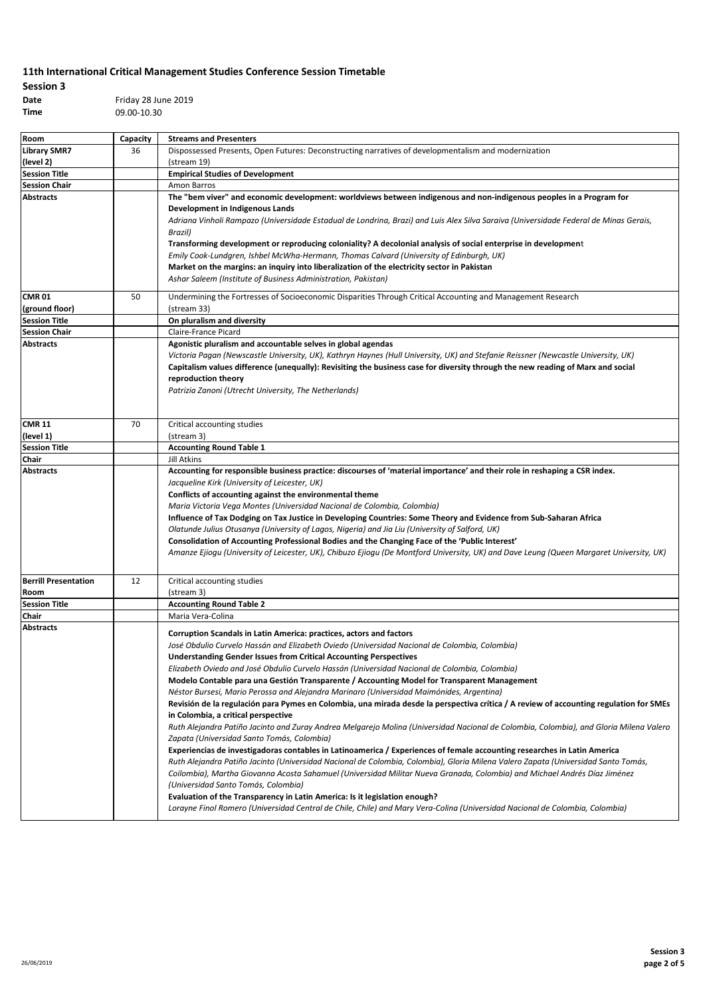| Session 3 |                     |
|-----------|---------------------|
| Date      | Friday 28 June 2019 |
| Time      | 09.00-10.30         |

| Room                                | Capacity | <b>Streams and Presenters</b>                                                                                                                                                                                                                                                                                                                                                                                                                                                                                                                                                                                                                                                                                                                                                                                                                                                                                                                                                                                                                                                                                                                                                                                                                                                                                                                                                                                                                                                                                                                                            |
|-------------------------------------|----------|--------------------------------------------------------------------------------------------------------------------------------------------------------------------------------------------------------------------------------------------------------------------------------------------------------------------------------------------------------------------------------------------------------------------------------------------------------------------------------------------------------------------------------------------------------------------------------------------------------------------------------------------------------------------------------------------------------------------------------------------------------------------------------------------------------------------------------------------------------------------------------------------------------------------------------------------------------------------------------------------------------------------------------------------------------------------------------------------------------------------------------------------------------------------------------------------------------------------------------------------------------------------------------------------------------------------------------------------------------------------------------------------------------------------------------------------------------------------------------------------------------------------------------------------------------------------------|
| <b>Library SMR7</b>                 | 36       | Dispossessed Presents, Open Futures: Deconstructing narratives of developmentalism and modernization                                                                                                                                                                                                                                                                                                                                                                                                                                                                                                                                                                                                                                                                                                                                                                                                                                                                                                                                                                                                                                                                                                                                                                                                                                                                                                                                                                                                                                                                     |
| (level 2)                           |          | (stream 19)                                                                                                                                                                                                                                                                                                                                                                                                                                                                                                                                                                                                                                                                                                                                                                                                                                                                                                                                                                                                                                                                                                                                                                                                                                                                                                                                                                                                                                                                                                                                                              |
| <b>Session Title</b>                |          | <b>Empirical Studies of Development</b>                                                                                                                                                                                                                                                                                                                                                                                                                                                                                                                                                                                                                                                                                                                                                                                                                                                                                                                                                                                                                                                                                                                                                                                                                                                                                                                                                                                                                                                                                                                                  |
| <b>Session Chair</b>                |          | Amon Barros                                                                                                                                                                                                                                                                                                                                                                                                                                                                                                                                                                                                                                                                                                                                                                                                                                                                                                                                                                                                                                                                                                                                                                                                                                                                                                                                                                                                                                                                                                                                                              |
| <b>Abstracts</b>                    |          | The "bem viver" and economic development: worldviews between indigenous and non-indigenous peoples in a Program for<br>Development in Indigenous Lands<br>Adriana Vinholi Rampazo (Universidade Estadual de Londrina, Brazi) and Luis Alex Silva Saraiva (Universidade Federal de Minas Gerais,<br>Brazil)<br>Transforming development or reproducing coloniality? A decolonial analysis of social enterprise in development<br>Emily Cook-Lundgren, Ishbel McWha-Hermann, Thomas Calvard (University of Edinburgh, UK)<br>Market on the margins: an inquiry into liberalization of the electricity sector in Pakistan<br>Ashar Saleem (Institute of Business Administration, Pakistan)                                                                                                                                                                                                                                                                                                                                                                                                                                                                                                                                                                                                                                                                                                                                                                                                                                                                                  |
| <b>CMR 01</b>                       | 50       | Undermining the Fortresses of Socioeconomic Disparities Through Critical Accounting and Management Research                                                                                                                                                                                                                                                                                                                                                                                                                                                                                                                                                                                                                                                                                                                                                                                                                                                                                                                                                                                                                                                                                                                                                                                                                                                                                                                                                                                                                                                              |
| (ground floor)                      |          | (stream 33)                                                                                                                                                                                                                                                                                                                                                                                                                                                                                                                                                                                                                                                                                                                                                                                                                                                                                                                                                                                                                                                                                                                                                                                                                                                                                                                                                                                                                                                                                                                                                              |
| <b>Session Title</b>                |          | On pluralism and diversity                                                                                                                                                                                                                                                                                                                                                                                                                                                                                                                                                                                                                                                                                                                                                                                                                                                                                                                                                                                                                                                                                                                                                                                                                                                                                                                                                                                                                                                                                                                                               |
| <b>Session Chair</b>                |          | Claire-France Picard                                                                                                                                                                                                                                                                                                                                                                                                                                                                                                                                                                                                                                                                                                                                                                                                                                                                                                                                                                                                                                                                                                                                                                                                                                                                                                                                                                                                                                                                                                                                                     |
| <b>Abstracts</b>                    |          | Agonistic pluralism and accountable selves in global agendas<br>Victoria Pagan (Newscastle University, UK), Kathryn Haynes (Hull University, UK) and Stefanie Reissner (Newcastle University, UK)<br>Capitalism values difference (unequally): Revisiting the business case for diversity through the new reading of Marx and social<br>reproduction theory<br>Patrizia Zanoni (Utrecht University, The Netherlands)                                                                                                                                                                                                                                                                                                                                                                                                                                                                                                                                                                                                                                                                                                                                                                                                                                                                                                                                                                                                                                                                                                                                                     |
| <b>CMR 11</b>                       | 70       | Critical accounting studies                                                                                                                                                                                                                                                                                                                                                                                                                                                                                                                                                                                                                                                                                                                                                                                                                                                                                                                                                                                                                                                                                                                                                                                                                                                                                                                                                                                                                                                                                                                                              |
| (level 1)                           |          | (stream 3)                                                                                                                                                                                                                                                                                                                                                                                                                                                                                                                                                                                                                                                                                                                                                                                                                                                                                                                                                                                                                                                                                                                                                                                                                                                                                                                                                                                                                                                                                                                                                               |
| <b>Session Title</b>                |          | <b>Accounting Round Table 1</b>                                                                                                                                                                                                                                                                                                                                                                                                                                                                                                                                                                                                                                                                                                                                                                                                                                                                                                                                                                                                                                                                                                                                                                                                                                                                                                                                                                                                                                                                                                                                          |
| Chair                               |          | Jill Atkins                                                                                                                                                                                                                                                                                                                                                                                                                                                                                                                                                                                                                                                                                                                                                                                                                                                                                                                                                                                                                                                                                                                                                                                                                                                                                                                                                                                                                                                                                                                                                              |
| <b>Abstracts</b>                    |          | Accounting for responsible business practice: discourses of 'material importance' and their role in reshaping a CSR index.<br>Jacqueline Kirk (University of Leicester, UK)<br>Conflicts of accounting against the environmental theme<br>Maria Victoria Vega Montes (Universidad Nacional de Colombia, Colombia)<br>Influence of Tax Dodging on Tax Justice in Developing Countries: Some Theory and Evidence from Sub-Saharan Africa<br>Olatunde Julius Otusanya (University of Lagos, Nigeria) and Jia Liu (University of Salford, UK)<br>Consolidation of Accounting Professional Bodies and the Changing Face of the 'Public Interest'<br>Amanze Ejiogu (University of Leicester, UK), Chibuzo Ejiogu (De Montford University, UK) and Dave Leung (Queen Margaret University, UK)                                                                                                                                                                                                                                                                                                                                                                                                                                                                                                                                                                                                                                                                                                                                                                                   |
| <b>Berrill Presentation</b><br>Room | 12       | Critical accounting studies<br>(stream 3)                                                                                                                                                                                                                                                                                                                                                                                                                                                                                                                                                                                                                                                                                                                                                                                                                                                                                                                                                                                                                                                                                                                                                                                                                                                                                                                                                                                                                                                                                                                                |
| <b>Session Title</b>                |          | <b>Accounting Round Table 2</b>                                                                                                                                                                                                                                                                                                                                                                                                                                                                                                                                                                                                                                                                                                                                                                                                                                                                                                                                                                                                                                                                                                                                                                                                                                                                                                                                                                                                                                                                                                                                          |
| Chair                               |          | Maria Vera-Colina                                                                                                                                                                                                                                                                                                                                                                                                                                                                                                                                                                                                                                                                                                                                                                                                                                                                                                                                                                                                                                                                                                                                                                                                                                                                                                                                                                                                                                                                                                                                                        |
| <b>Abstracts</b>                    |          | Corruption Scandals in Latin America: practices, actors and factors<br>José Obdulio Curvelo Hassán and Elizabeth Oviedo (Universidad Nacional de Colombia, Colombia)<br><b>Understanding Gender Issues from Critical Accounting Perspectives</b><br>Elizabeth Oviedo and José Obdulio Curvelo Hassán (Universidad Nacional de Colombia, Colombia)<br>Modelo Contable para una Gestión Transparente / Accounting Model for Transparent Management<br>Néstor Bursesi, Mario Perossa and Alejandra Marinaro (Universidad Maimónides, Argentina)<br>Revisión de la regulación para Pymes en Colombia, una mirada desde la perspectiva crítica / A review of accounting regulation for SMEs<br>in Colombia, a critical perspective<br>Ruth Alejandra Patiño Jacinto and Zuray Andrea Melgarejo Molina (Universidad Nacional de Colombia, Colombia), and Gloria Milena Valero<br>Zapata (Universidad Santo Tomás, Colombia)<br>Experiencias de investigadoras contables in Latinoamerica / Experiences of female accounting researches in Latin America<br>Ruth Alejandra Patiño Jacinto (Universidad Nacional de Colombia, Colombia), Gloria Milena Valero Zapata (Universidad Santo Tomás,<br>Coilombia), Martha Giovanna Acosta Sahamuel (Universidad Militar Nueva Granada, Colombia) and Michael Andrés Díaz Jiménez<br>(Universidad Santo Tomás, Colombia)<br>Evaluation of the Transparency in Latin America: Is it legislation enough?<br>Lorayne Finol Romero (Universidad Central de Chile, Chile) and Mary Vera-Colina (Universidad Nacional de Colombia, Colombia) |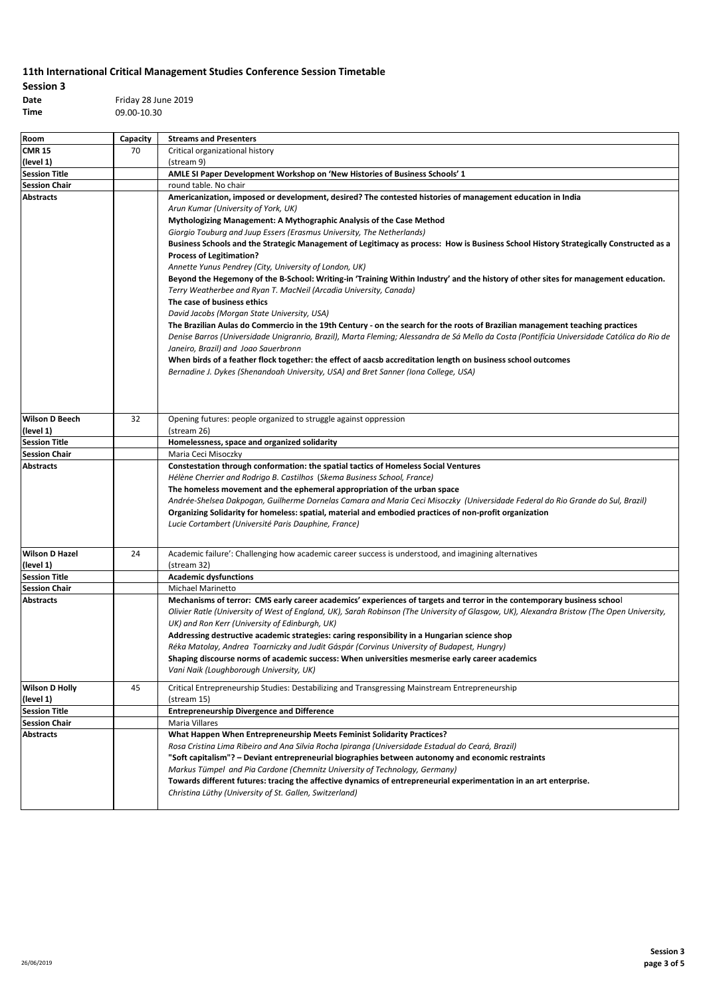| Session 3 |                     |
|-----------|---------------------|
| Date      | Friday 28 June 2019 |
| Time      | 09.00-10.30         |

| Room                                     | Capacity | <b>Streams and Presenters</b>                                                                                                                                                                                                                                                                                                                                                                                                                                                                                                                                                                                                                                                                                                                                                                                                                                                                                                                                                                                                                                                                                                                                                                                                                                                                                                                                     |
|------------------------------------------|----------|-------------------------------------------------------------------------------------------------------------------------------------------------------------------------------------------------------------------------------------------------------------------------------------------------------------------------------------------------------------------------------------------------------------------------------------------------------------------------------------------------------------------------------------------------------------------------------------------------------------------------------------------------------------------------------------------------------------------------------------------------------------------------------------------------------------------------------------------------------------------------------------------------------------------------------------------------------------------------------------------------------------------------------------------------------------------------------------------------------------------------------------------------------------------------------------------------------------------------------------------------------------------------------------------------------------------------------------------------------------------|
| <b>CMR 15</b>                            | 70       | Critical organizational history                                                                                                                                                                                                                                                                                                                                                                                                                                                                                                                                                                                                                                                                                                                                                                                                                                                                                                                                                                                                                                                                                                                                                                                                                                                                                                                                   |
| (level 1)                                |          | (stream 9)                                                                                                                                                                                                                                                                                                                                                                                                                                                                                                                                                                                                                                                                                                                                                                                                                                                                                                                                                                                                                                                                                                                                                                                                                                                                                                                                                        |
| <b>Session Title</b>                     |          | AMLE SI Paper Development Workshop on 'New Histories of Business Schools' 1                                                                                                                                                                                                                                                                                                                                                                                                                                                                                                                                                                                                                                                                                                                                                                                                                                                                                                                                                                                                                                                                                                                                                                                                                                                                                       |
| <b>Session Chair</b>                     |          | round table. No chair                                                                                                                                                                                                                                                                                                                                                                                                                                                                                                                                                                                                                                                                                                                                                                                                                                                                                                                                                                                                                                                                                                                                                                                                                                                                                                                                             |
| <b>Abstracts</b>                         |          | Americanization, imposed or development, desired? The contested histories of management education in India<br>Arun Kumar (University of York, UK)<br>Mythologizing Management: A Mythographic Analysis of the Case Method<br>Giorgio Touburg and Juup Essers (Erasmus University, The Netherlands)<br>Business Schools and the Strategic Management of Legitimacy as process: How is Business School History Strategically Constructed as a<br><b>Process of Legitimation?</b><br>Annette Yunus Pendrey (City, University of London, UK)<br>Beyond the Hegemony of the B-School: Writing-in 'Training Within Industry' and the history of other sites for management education.<br>Terry Weatherbee and Ryan T. MacNeil (Arcadia University, Canada)<br>The case of business ethics<br>David Jacobs (Morgan State University, USA)<br>The Brazilian Aulas do Commercio in the 19th Century - on the search for the roots of Brazilian management teaching practices<br>Denise Barros (Universidade Unigranrio, Brazil), Marta Fleming; Alessandra de Sá Mello da Costa (Pontifícia Universidade Católica do Rio de<br>Janeiro, Brazil) and Joao Sauerbronn<br>When birds of a feather flock together: the effect of aacsb accreditation length on business school outcomes<br>Bernadine J. Dykes (Shenandoah University, USA) and Bret Sanner (Iona College, USA) |
| <b>Wilson D Beech</b>                    | 32       | Opening futures: people organized to struggle against oppression                                                                                                                                                                                                                                                                                                                                                                                                                                                                                                                                                                                                                                                                                                                                                                                                                                                                                                                                                                                                                                                                                                                                                                                                                                                                                                  |
| (level 1)                                |          | (stream 26)                                                                                                                                                                                                                                                                                                                                                                                                                                                                                                                                                                                                                                                                                                                                                                                                                                                                                                                                                                                                                                                                                                                                                                                                                                                                                                                                                       |
| <b>Session Title</b>                     |          | Homelessness, space and organized solidarity                                                                                                                                                                                                                                                                                                                                                                                                                                                                                                                                                                                                                                                                                                                                                                                                                                                                                                                                                                                                                                                                                                                                                                                                                                                                                                                      |
| <b>Session Chair</b>                     |          | Maria Ceci Misoczky                                                                                                                                                                                                                                                                                                                                                                                                                                                                                                                                                                                                                                                                                                                                                                                                                                                                                                                                                                                                                                                                                                                                                                                                                                                                                                                                               |
|                                          |          | Hélène Cherrier and Rodrigo B. Castilhos (Skema Business School, France)<br>The homeless movement and the ephemeral appropriation of the urban space<br>Andrée-Shelsea Dakpogan, Guilherme Dornelas Camara and Maria Ceci Misoczky (Universidade Federal do Rio Grande do Sul, Brazil)<br>Organizing Solidarity for homeless: spatial, material and embodied practices of non-profit organization<br>Lucie Cortambert (Université Paris Dauphine, France)                                                                                                                                                                                                                                                                                                                                                                                                                                                                                                                                                                                                                                                                                                                                                                                                                                                                                                         |
| <b>Wilson D Hazel</b>                    | 24       | Academic failure': Challenging how academic career success is understood, and imagining alternatives                                                                                                                                                                                                                                                                                                                                                                                                                                                                                                                                                                                                                                                                                                                                                                                                                                                                                                                                                                                                                                                                                                                                                                                                                                                              |
| (level 1)                                |          | (stream 32)                                                                                                                                                                                                                                                                                                                                                                                                                                                                                                                                                                                                                                                                                                                                                                                                                                                                                                                                                                                                                                                                                                                                                                                                                                                                                                                                                       |
| <b>Session Title</b>                     |          | <b>Academic dysfunctions</b>                                                                                                                                                                                                                                                                                                                                                                                                                                                                                                                                                                                                                                                                                                                                                                                                                                                                                                                                                                                                                                                                                                                                                                                                                                                                                                                                      |
| <b>Session Chair</b><br><b>Abstracts</b> |          | Michael Marinetto<br>Mechanisms of terror: CMS early career academics' experiences of targets and terror in the contemporary business school<br>Olivier Ratle (University of West of England, UK), Sarah Robinson (The University of Glasgow, UK), Alexandra Bristow (The Open University,<br>UK) and Ron Kerr (University of Edinburgh, UK)<br>Addressing destructive academic strategies: caring responsibility in a Hungarian science shop<br>Réka Matolay, Andrea Toarniczky and Judit Gáspár (Corvinus University of Budapest, Hungry)<br>Shaping discourse norms of academic success: When universities mesmerise early career academics<br>Vani Naik (Loughborough University, UK)                                                                                                                                                                                                                                                                                                                                                                                                                                                                                                                                                                                                                                                                         |
| <b>Wilson D Holly</b><br>(level 1)       | 45       | Critical Entrepreneurship Studies: Destabilizing and Transgressing Mainstream Entrepreneurship<br>(stream 15)                                                                                                                                                                                                                                                                                                                                                                                                                                                                                                                                                                                                                                                                                                                                                                                                                                                                                                                                                                                                                                                                                                                                                                                                                                                     |
| <b>Session Title</b>                     |          | <b>Entrepreneurship Divergence and Difference</b>                                                                                                                                                                                                                                                                                                                                                                                                                                                                                                                                                                                                                                                                                                                                                                                                                                                                                                                                                                                                                                                                                                                                                                                                                                                                                                                 |
| <b>Session Chair</b>                     |          | Maria Villares                                                                                                                                                                                                                                                                                                                                                                                                                                                                                                                                                                                                                                                                                                                                                                                                                                                                                                                                                                                                                                                                                                                                                                                                                                                                                                                                                    |
| <b>Abstracts</b>                         |          | What Happen When Entrepreneurship Meets Feminist Solidarity Practices?<br>Rosa Cristina Lima Ribeiro and Ana Silvia Rocha Ipiranga (Universidade Estadual do Ceará, Brazil)<br>"Soft capitalism"? - Deviant entrepreneurial biographies between autonomy and economic restraints<br>Markus Tümpel and Pia Cardone (Chemnitz University of Technology, Germany)<br>Towards different futures: tracing the affective dynamics of entrepreneurial experimentation in an art enterprise.<br>Christina Lüthy (University of St. Gallen, Switzerland)                                                                                                                                                                                                                                                                                                                                                                                                                                                                                                                                                                                                                                                                                                                                                                                                                   |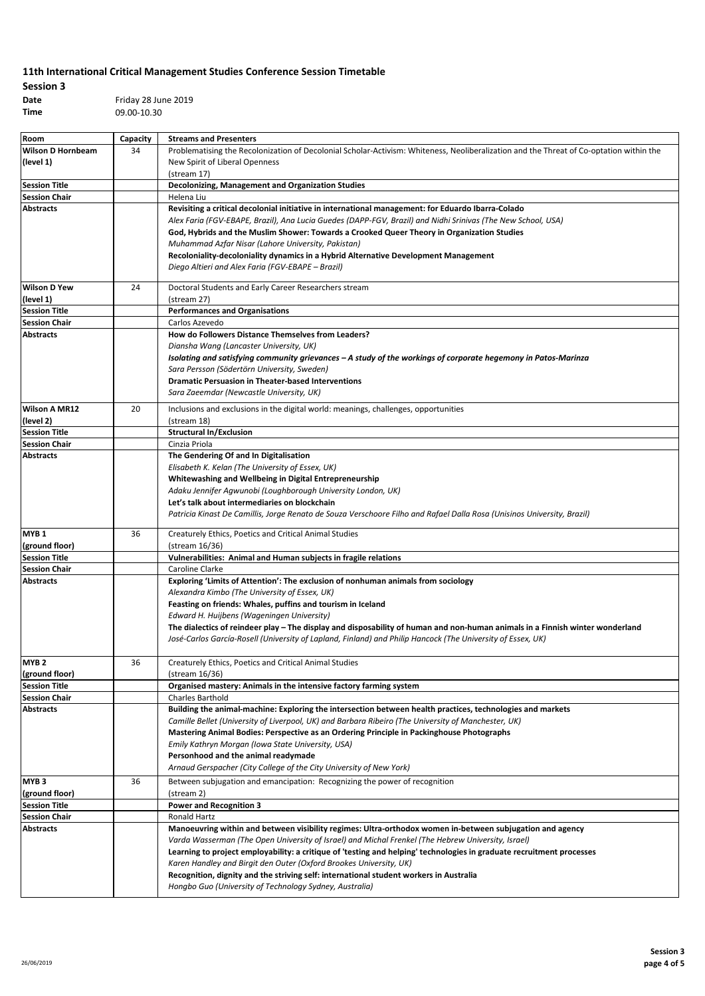| Session 3 |                     |
|-----------|---------------------|
| Date      | Friday 28 June 2019 |
| Time      | 09.00-10.30         |

| Room                                     | Capacity | <b>Streams and Presenters</b>                                                                                                                                                               |
|------------------------------------------|----------|---------------------------------------------------------------------------------------------------------------------------------------------------------------------------------------------|
| <b>Wilson D Hornbeam</b>                 | 34       | Problematising the Recolonization of Decolonial Scholar-Activism: Whiteness, Neoliberalization and the Threat of Co-optation within the                                                     |
| (level 1)                                |          | New Spirit of Liberal Openness                                                                                                                                                              |
|                                          |          | (stream 17)                                                                                                                                                                                 |
| <b>Session Title</b>                     |          | Decolonizing, Management and Organization Studies                                                                                                                                           |
| <b>Session Chair</b>                     |          | Helena Liu                                                                                                                                                                                  |
| <b>Abstracts</b>                         |          | Revisiting a critical decolonial initiative in international management: for Eduardo Ibarra-Colado                                                                                          |
|                                          |          | Alex Faria (FGV-EBAPE, Brazil), Ana Lucia Guedes (DAPP-FGV, Brazil) and Nidhi Srinivas (The New School, USA)                                                                                |
|                                          |          | God, Hybrids and the Muslim Shower: Towards a Crooked Queer Theory in Organization Studies                                                                                                  |
|                                          |          | Muhammad Azfar Nisar (Lahore University, Pakistan)                                                                                                                                          |
|                                          |          | Recoloniality-decoloniality dynamics in a Hybrid Alternative Development Management                                                                                                         |
|                                          |          | Diego Altieri and Alex Faria (FGV-EBAPE - Brazil)                                                                                                                                           |
|                                          |          |                                                                                                                                                                                             |
| <b>Wilson D Yew</b>                      | 24       | Doctoral Students and Early Career Researchers stream                                                                                                                                       |
| (level 1)                                |          | (stream 27)                                                                                                                                                                                 |
| <b>Session Title</b>                     |          | <b>Performances and Organisations</b>                                                                                                                                                       |
| <b>Session Chair</b>                     |          | Carlos Azevedo                                                                                                                                                                              |
| <b>Abstracts</b>                         |          | How do Followers Distance Themselves from Leaders?                                                                                                                                          |
|                                          |          | Diansha Wang (Lancaster University, UK)                                                                                                                                                     |
|                                          |          | Isolating and satisfying community grievances – A study of the workings of corporate hegemony in Patos-Marinza                                                                              |
|                                          |          | Sara Persson (Södertörn University, Sweden)                                                                                                                                                 |
|                                          |          | <b>Dramatic Persuasion in Theater-based Interventions</b>                                                                                                                                   |
|                                          |          | Sara Zaeemdar (Newcastle University, UK)                                                                                                                                                    |
| <b>Wilson A MR12</b>                     | 20       | Inclusions and exclusions in the digital world: meanings, challenges, opportunities                                                                                                         |
| (level 2)                                |          | (stream 18)                                                                                                                                                                                 |
| <b>Session Title</b>                     |          | <b>Structural In/Exclusion</b>                                                                                                                                                              |
| <b>Session Chair</b>                     |          | Cinzia Priola                                                                                                                                                                               |
| <b>Abstracts</b>                         |          | The Gendering Of and In Digitalisation                                                                                                                                                      |
|                                          |          | Elisabeth K. Kelan (The University of Essex, UK)                                                                                                                                            |
|                                          |          | Whitewashing and Wellbeing in Digital Entrepreneurship                                                                                                                                      |
|                                          |          | Adaku Jennifer Agwunobi (Loughborough University London, UK)                                                                                                                                |
|                                          |          | Let's talk about intermediaries on blockchain                                                                                                                                               |
|                                          |          | Patricia Kinast De Camillis, Jorge Renato de Souza Verschoore Filho and Rafael Dalla Rosa (Unisinos University, Brazil)                                                                     |
| MYB <sub>1</sub>                         | 36       | Creaturely Ethics, Poetics and Critical Animal Studies                                                                                                                                      |
| (ground floor)                           |          | (stream 16/36)                                                                                                                                                                              |
| <b>Session Title</b>                     |          | Vulnerabilities: Animal and Human subjects in fragile relations                                                                                                                             |
| <b>Session Chair</b>                     |          | Caroline Clarke                                                                                                                                                                             |
| <b>Abstracts</b>                         |          | Exploring 'Limits of Attention': The exclusion of nonhuman animals from sociology                                                                                                           |
|                                          |          | Alexandra Kimbo (The University of Essex, UK)                                                                                                                                               |
|                                          |          | Feasting on friends: Whales, puffins and tourism in Iceland                                                                                                                                 |
|                                          |          | Edward H. Huijbens (Wageningen University)                                                                                                                                                  |
|                                          |          | The dialectics of reindeer play – The display and disposability of human and non-human animals in a Finnish winter wonderland                                                               |
|                                          |          | José-Carlos García-Rosell (University of Lapland, Finland) and Philip Hancock (The University of Essex, UK)                                                                                 |
|                                          |          |                                                                                                                                                                                             |
| MYB <sub>2</sub>                         | 36       | Creaturely Ethics, Poetics and Critical Animal Studies                                                                                                                                      |
| (ground floor)                           |          | (stream 16/36)                                                                                                                                                                              |
| <b>Session Title</b>                     |          | Organised mastery: Animals in the intensive factory farming system                                                                                                                          |
| <b>Session Chair</b>                     |          | Charles Barthold                                                                                                                                                                            |
| <b>Abstracts</b>                         |          | Building the animal-machine: Exploring the intersection between health practices, technologies and markets                                                                                  |
|                                          |          | Camille Bellet (University of Liverpool, UK) and Barbara Ribeiro (The University of Manchester, UK)                                                                                         |
|                                          |          | Mastering Animal Bodies: Perspective as an Ordering Principle in Packinghouse Photographs                                                                                                   |
|                                          |          | Emily Kathryn Morgan (Iowa State University, USA)<br>Personhood and the animal readymade                                                                                                    |
|                                          |          | Arnaud Gerspacher (City College of the City University of New York)                                                                                                                         |
|                                          |          |                                                                                                                                                                                             |
| MYB <sub>3</sub>                         | 36       | Between subjugation and emancipation: Recognizing the power of recognition                                                                                                                  |
| (ground floor)                           |          | (stream 2)                                                                                                                                                                                  |
| <b>Session Title</b>                     |          | <b>Power and Recognition 3</b>                                                                                                                                                              |
| <b>Session Chair</b><br><b>Abstracts</b> |          | Ronald Hartz<br>Manoeuvring within and between visibility regimes: Ultra-orthodox women in-between subjugation and agency                                                                   |
|                                          |          | Varda Wasserman (The Open University of Israel) and Michal Frenkel (The Hebrew University, Israel)                                                                                          |
|                                          |          |                                                                                                                                                                                             |
|                                          |          | Learning to project employability: a critique of 'testing and helping' technologies in graduate recruitment processes<br>Karen Handley and Birgit den Outer (Oxford Brookes University, UK) |
|                                          |          | Recognition, dignity and the striving self: international student workers in Australia                                                                                                      |
|                                          |          | Hongbo Guo (University of Technology Sydney, Australia)                                                                                                                                     |
|                                          |          |                                                                                                                                                                                             |